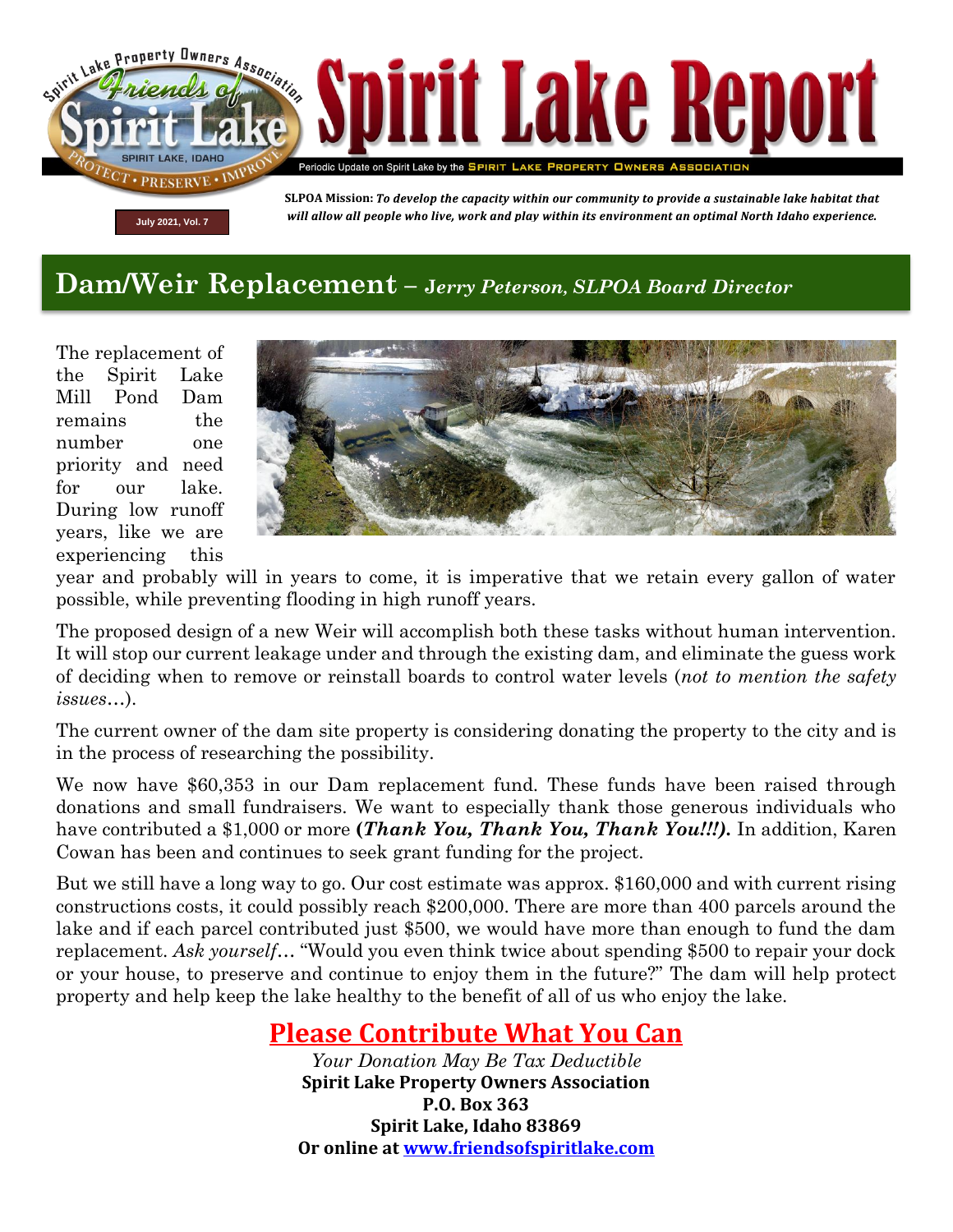

## **Dam/Weir Replacement – <sup>J</sup>***erry Peterson, SLPOA Board Director*

The replacement of the Spirit Lake Mill Pond Dam remains the number one priority and need for our lake. During low runoff years, like we are experiencing this



year and probably will in years to come, it is imperative that we retain every gallon of water possible, while preventing flooding in high runoff years.

The proposed design of a new Weir will accomplish both these tasks without human intervention. It will stop our current leakage under and through the existing dam, and eliminate the guess work of deciding when to remove or reinstall boards to control water levels (*not to mention the safety issues…*).

The current owner of the dam site property is considering donating the property to the city and is in the process of researching the possibility.

We now have \$60,353 in our Dam replacement fund. These funds have been raised through donations and small fundraisers. We want to especially thank those generous individuals who have contributed a \$1,000 or more **(***Thank You, Thank You, Thank You!!!).* In addition, Karen Cowan has been and continues to seek grant funding for the project.

But we still have a long way to go. Our cost estimate was approx. \$160,000 and with current rising constructions costs, it could possibly reach \$200,000. There are more than 400 parcels around the lake and if each parcel contributed just \$500, we would have more than enough to fund the dam replacement. *Ask yourself*… "Would you even think twice about spending \$500 to repair your dock or your house, to preserve and continue to enjoy them in the future?" The dam will help protect property and help keep the lake healthy to the benefit of all of us who enjoy the lake.

## **Please Contribute What You Can**

*Your Donation May Be Tax Deductible* **Spirit Lake Property Owners Association P.O. Box 363 Spirit Lake, Idaho 83869 Or online at [www.friendsofspiritlake.com](http://www.friendsofspiritlake.com/)**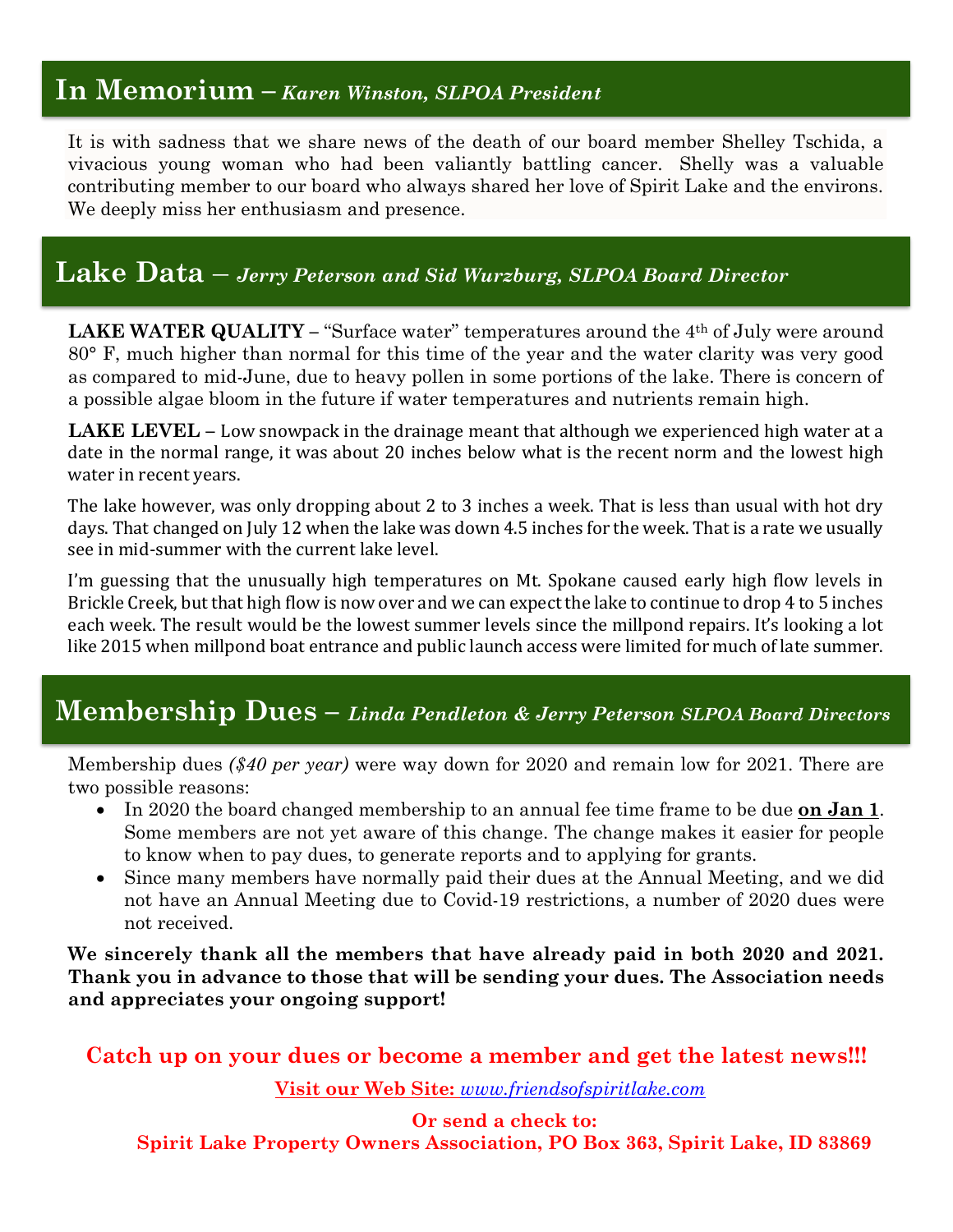### **In Memorium –** *Karen Winston, SLPOA President*

It is with sadness that we share news of the death of our board member Shelley Tschida, a vivacious young woman who had been valiantly battling cancer. Shelly was a valuable contributing member to our board who always shared her love of Spirit Lake and the environs. We deeply miss her enthusiasm and presence.

## **Lake Data** – *Jerry Peterson and Sid Wurzburg, SLPOA Board Director*

**LAKE WATER QUALITY – "Surface water" temperatures around the 4<sup>th</sup> of July were around** 80° F, much higher than normal for this time of the year and the water clarity was very good as compared to mid-June, due to heavy pollen in some portions of the lake. There is concern of a possible algae bloom in the future if water temperatures and nutrients remain high.

**LAKE LEVEL –** Low snowpack in the drainage meant that although we experienced high water at a date in the normal range, it was about 20 inches below what is the recent norm and the lowest high water in recent years.

The lake however, was only dropping about 2 to 3 inches a week. That is less than usual with hot dry days. That changed on July 12 when the lake was down 4.5 inches for the week. That is a rate we usually see in mid-summer with the current lake level.

I'm guessing that the unusually high temperatures on Mt. Spokane caused early high flow levels in Brickle Creek, but that high flow is now over and we can expect the lake to continue to drop 4 to 5 inches each week. The result would be the lowest summer levels since the millpond repairs. It's looking a lot like 2015 when millpond boat entrance and public launch access were limited for much of late summer.

## **Membership Dues –** *Linda Pendleton & Jerry Peterson SLPOA Board Directors*

Membership dues *(\$40 per year)* were way down for 2020 and remain low for 2021. There are two possible reasons:

- In 2020 the board changed membership to an annual fee time frame to be due **on Jan 1**. Some members are not yet aware of this change. The change makes it easier for people to know when to pay dues, to generate reports and to applying for grants.
- Since many members have normally paid their dues at the Annual Meeting, and we did not have an Annual Meeting due to Covid-19 restrictions, a number of 2020 dues were not received.

**We sincerely thank all the members that have already paid in both 2020 and 2021. Thank you in advance to those that will be sending your dues. The Association needs and appreciates your ongoing support!**

**Catch up on your dues or become a member and get the latest news!!!**

**Visit our Web Site:** *[www.friendsofspiritlake.com](http://www.friendsofspiritlake.com/)*

**Or send a check to:**

**Spirit Lake Property Owners Association, PO Box 363, Spirit Lake, ID 83869**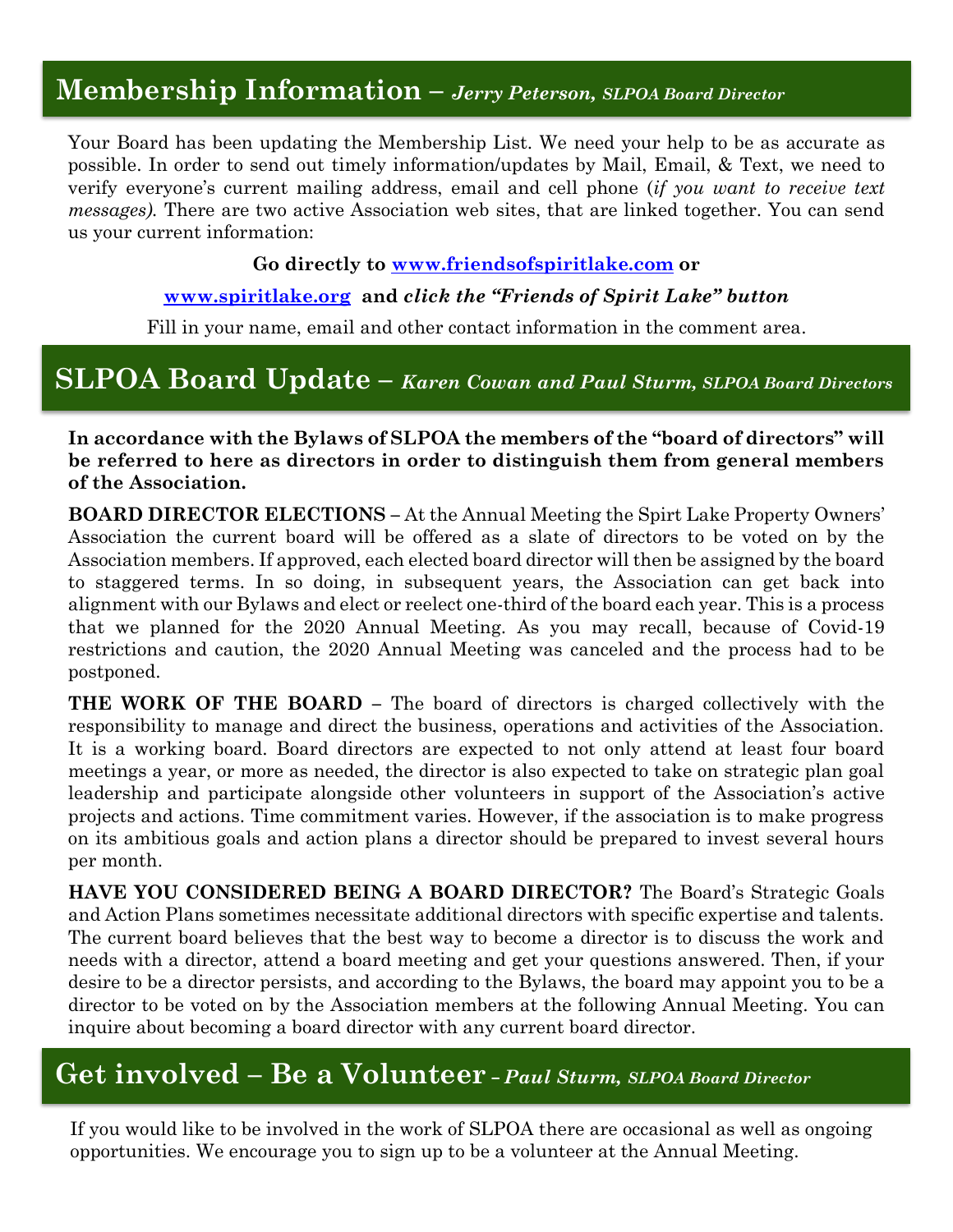## **Membership Information –** *Jerry Peterson, SLPOA Board Director*

Your Board has been updating the Membership List. We need your help to be as accurate as possible. In order to send out timely information/updates by Mail, Email, & Text, we need to verify everyone's current mailing address, email and cell phone (*if you want to receive text messages).* There are two active Association web sites, that are linked together. You can send us your current information:

#### **Go directly to [www.friendsofspiritlake.com](http://www.friendsofspiritlake.com/) or**

#### **[www.spiritlake.org](http://www.spiritlake.org/) and** *click the "Friends of Spirit Lake" button*

Fill in your name, email and other contact information in the comment area.

## **SLPOA Board Update –** *Karen Cowan and Paul Sturm, SLPOA Board Directors*

**In accordance with the Bylaws of SLPOA the members of the "board of directors" will be referred to here as directors in order to distinguish them from general members of the Association.** 

**BOARD DIRECTOR ELECTIONS –** At the Annual Meeting the Spirt Lake Property Owners' Association the current board will be offered as a slate of directors to be voted on by the Association members. If approved, each elected board director will then be assigned by the board to staggered terms. In so doing, in subsequent years, the Association can get back into alignment with our Bylaws and elect or reelect one-third of the board each year. This is a process that we planned for the 2020 Annual Meeting. As you may recall, because of Covid-19 restrictions and caution, the 2020 Annual Meeting was canceled and the process had to be postponed.

**THE WORK OF THE BOARD –** The board of directors is charged collectively with the responsibility to manage and direct the business, operations and activities of the Association. It is a working board. Board directors are expected to not only attend at least four board meetings a year, or more as needed, the director is also expected to take on strategic plan goal leadership and participate alongside other volunteers in support of the Association's active projects and actions. Time commitment varies. However, if the association is to make progress on its ambitious goals and action plans a director should be prepared to invest several hours per month.

**HAVE YOU CONSIDERED BEING A BOARD DIRECTOR?** The Board's Strategic Goals and Action Plans sometimes necessitate additional directors with specific expertise and talents. The current board believes that the best way to become a director is to discuss the work and needs with a director, attend a board meeting and get your questions answered. Then, if your desire to be a director persists, and according to the Bylaws, the board may appoint you to be a director to be voted on by the Association members at the following Annual Meeting. You can inquire about becoming a board director with any current board director.

### **Get involved – Be a Volunteer –** *Paul Sturm, SLPOA Board Director*

If you would like to be involved in the work of SLPOA there are occasional as well as ongoing opportunities. We encourage you to sign up to be a volunteer at the Annual Meeting.